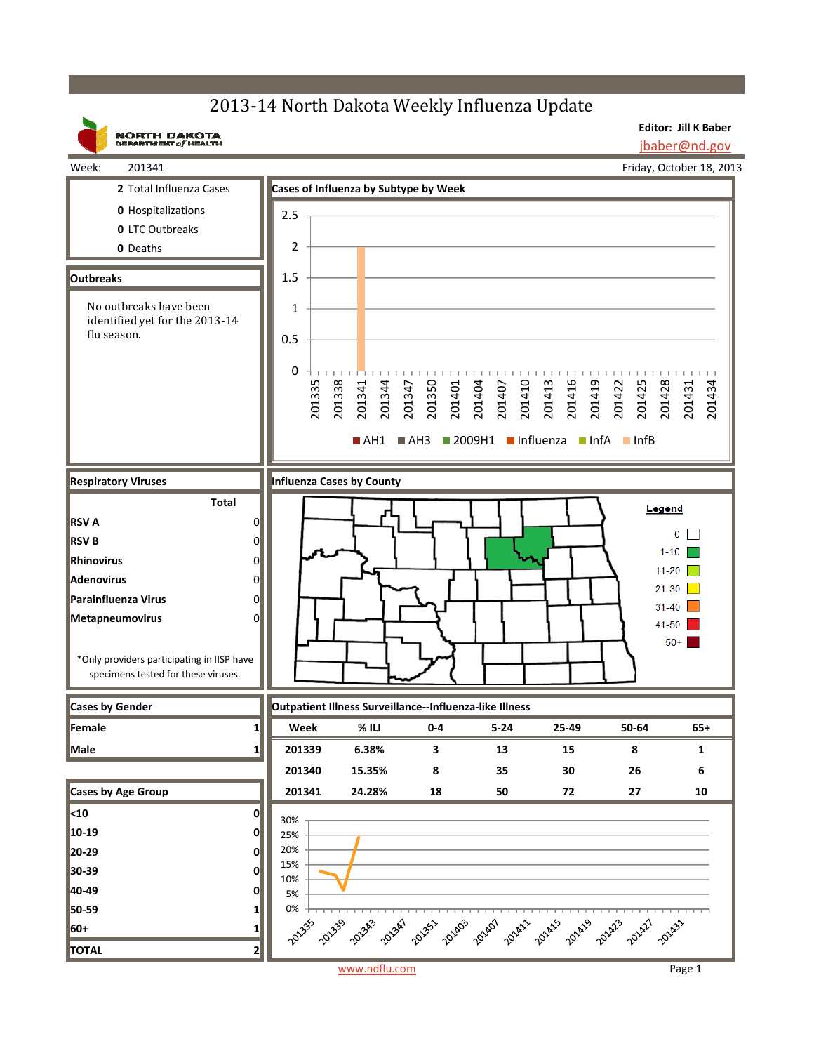## 2013-14 North Dakota Weekly Influenza Update